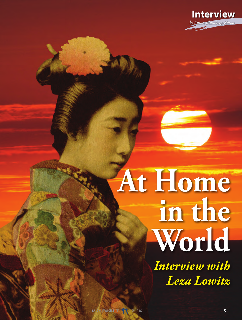

## **At Home in the World**

*Interview with Leza Lowitz*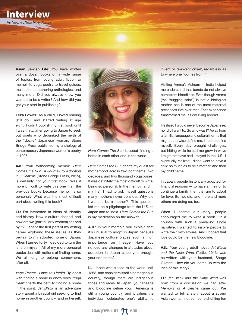## **Interview** *by Susan Blumberg-Kason*

Asian Jewish Life: You have written over a dozen books on a wide range of topics, from young adult fiction to memoir to yoga poetry to travel guides, multicultural mothering anthologies, and many more. Did you always know you wanted to be a writer? And how did you get your start in publishing?

Leza Lowitz: As a child, I loved reading (still do!), and started writing at age eight. I didn't publish my first book until I was thirty, after going to Japan to seek out poets who debunked the myth of the "docile" Japanese woman. Stone Bridge Press published my anthology of contemporary Japanese women's poetry in 1995.

AJL: Your forthcoming memoir, *Here Comes the Sun: A Journey to Adoption in 8 Chakras* (Stone Bridge Press, 2015), is certainly not your first book. Was it more difficult to write this one than the previous books because memoir is so personal? What was the most difficult part about writing this book?

LL: I'm interested in ideas of identity and history. How is culture shaped, and how are we (particularly women) shaped by it? I spent the first part of my writing career exploring these issues as they pertain to my adopted home of Japan. When I turned forty, I decided to turn the lens on myself. All of my more personal books deal with notions of finding home. We all long to belong somewhere, after all.

*Yoga Poems: Lines to Unfold By* deals with finding a home in one's body. *Yoga Heart* charts the path to finding a home in the spirit. *Jet Black* is an adventure story about a biracial girl seeking to find home in another country, and in herself.



*Here Comes The Sun* is about finding a home in each other and in the world.

*Here Comes the Sun* charts my quest for motherhood across two continents, two decades, and two thousand yoga poses. It was definitely the most difficult to write, being so personal. In the memoir (and in my life), I had to ask myself questions many mothers never consider. Why did I want to be a mother? This question led me on a pilgrimage from the U.S. to Japan and to India. *Here Comes the Sun*  is my meditation on the answer.

AJL: In your memoir, you explain that it's unusual to adopt in Japan because Japanese culture places such a high importance on lineage. Have you noticed any changes in attitudes about adoption in Japan since you brought your son home?

LL: Japan was closed to the world until 1868, and considers itself a homogenous country, though there are indigenous tribes and races. In Japan, your lineage and bloodline define you. America is still a young country, and it values the individual, celebrates one's ability to

invent or re-invent onself, regardless as to where one "comes from."

Visiting Amma's Ashram in India helped me understand that bonds do not always come from bloodlines. Even though Amma (the "hugging saint") is not a biological mother, she is one of the most maternal presences I've ever met. That experience transformed me, as did living abroad.

I realized I would never become Japanese, nor did I want to. So who was I? Away from a familiar language and cultural norms that might otherwise define me, I had to define myself. Every day brought challenges, but hitting walls helped me grow in ways I might not have had I stayed in the U.S. I eventually realized I didn't want to have a child so much as to be a mother. And then my child came.

In Japan, people historically adopted for financial reasons — to have an heir or to continue a family line. It is rare to adopt for love. But we did, and more and more others are doing so, too.

When I shared our story, people encouraged me to write a book. In a country with such a prevailing single narrative, I wanted to inspire people to write their own stories. And I hoped that love could be the new bloodline.

AJL: Your young adult novel, *Jet Black and the Ninja Wind* (Tuttle, 2013) was co-written with your husband, Shogo Oketani. How did you come up with the idea of this story?

LL: *Jet Black and the Ninja Wind* was born from a discussion we had after *Memoirs of A Geisha* came out. We wanted to tell a story about a strong Asian woman, not someone shuffling ten